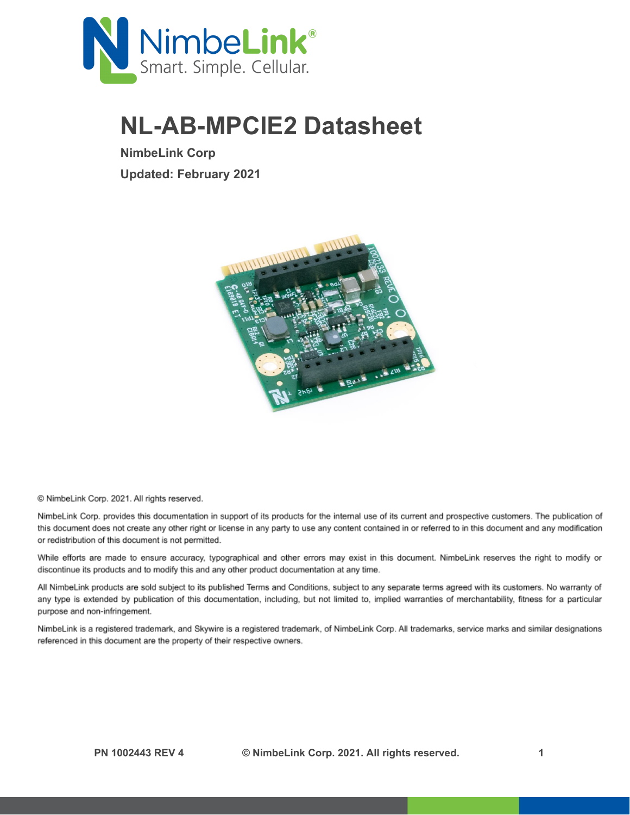

## **NL-AB-MPCIE2 Datasheet**

**NimbeLink Corp Updated: February 2021**



@ NimbeLink Corp. 2021. All rights reserved.

NimbeLink Corp. provides this documentation in support of its products for the internal use of its current and prospective customers. The publication of this document does not create any other right or license in any party to use any content contained in or referred to in this document and any modification or redistribution of this document is not permitted.

While efforts are made to ensure accuracy, typographical and other errors may exist in this document. NimbeLink reserves the right to modify or discontinue its products and to modify this and any other product documentation at any time.

All NimbeLink products are sold subject to its published Terms and Conditions, subject to any separate terms agreed with its customers. No warranty of any type is extended by publication of this documentation, including, but not limited to, implied warranties of merchantability, fitness for a particular purpose and non-infringement.

NimbeLink is a registered trademark, and Skywire is a registered trademark, of NimbeLink Corp. All trademarks, service marks and similar designations referenced in this document are the property of their respective owners.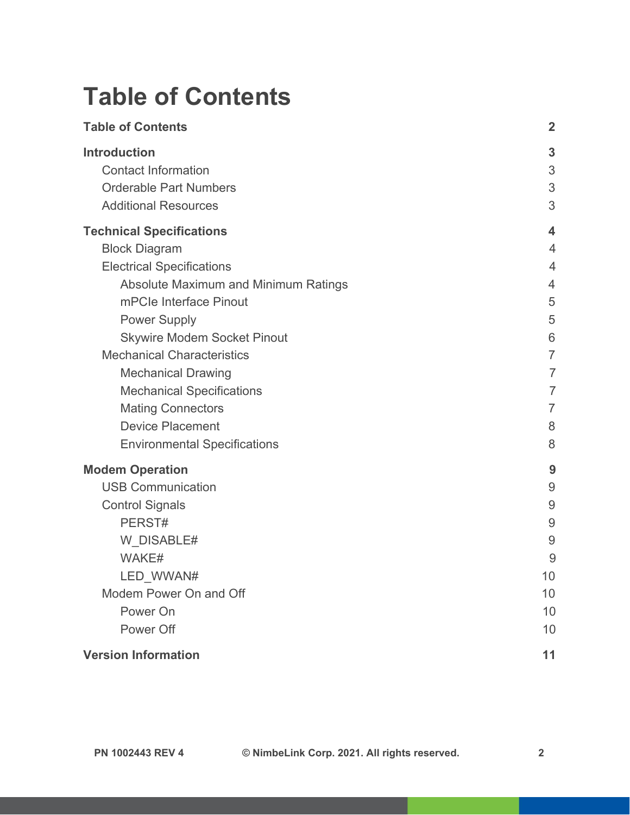## <span id="page-1-0"></span>**Table of Contents**

| <b>Table of Contents</b>                            | $\mathbf{2}$            |
|-----------------------------------------------------|-------------------------|
| <b>Introduction</b><br><b>Contact Information</b>   | 3<br>3                  |
| <b>Orderable Part Numbers</b>                       | 3                       |
| <b>Additional Resources</b>                         | 3                       |
| <b>Technical Specifications</b>                     | $\overline{\mathbf{4}}$ |
| <b>Block Diagram</b>                                | $\overline{4}$          |
| <b>Electrical Specifications</b>                    | 4                       |
| Absolute Maximum and Minimum Ratings                | 4                       |
| mPCIe Interface Pinout                              | 5                       |
| <b>Power Supply</b>                                 | 5                       |
| <b>Skywire Modem Socket Pinout</b>                  | 6                       |
| <b>Mechanical Characteristics</b>                   | $\overline{7}$          |
| <b>Mechanical Drawing</b>                           | $\overline{7}$          |
| <b>Mechanical Specifications</b>                    | 7<br>7                  |
| <b>Mating Connectors</b><br><b>Device Placement</b> | 8                       |
| <b>Environmental Specifications</b>                 | 8                       |
| <b>Modem Operation</b>                              | 9                       |
| <b>USB Communication</b>                            | $\overline{9}$          |
| <b>Control Signals</b>                              | 9                       |
| PERST#                                              | 9                       |
| W DISABLE#                                          | 9                       |
| WAKE#                                               | 9                       |
| LED WWAN#                                           | 10                      |
| Modem Power On and Off                              | 10                      |
| Power On                                            | 10                      |
| Power Off                                           | 10                      |
| <b>Version Information</b>                          | 11                      |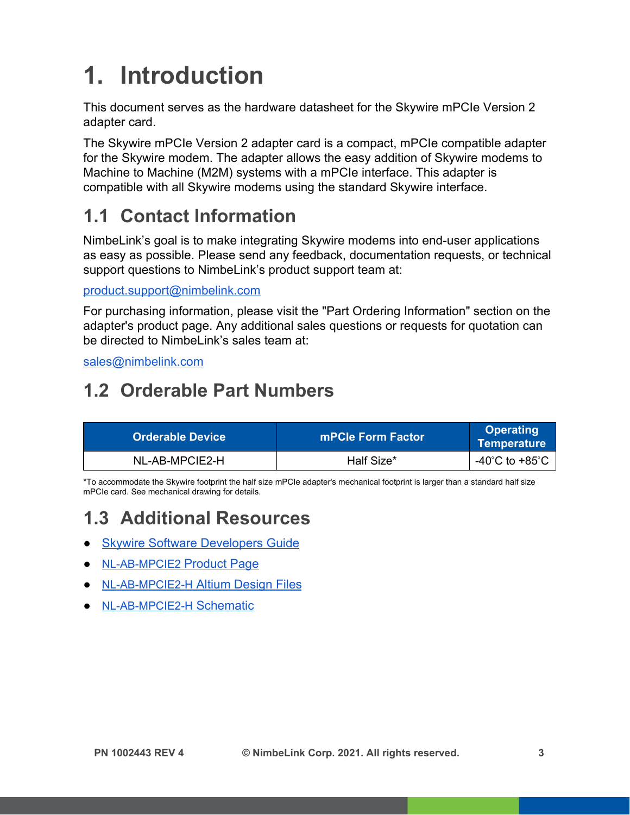# <span id="page-2-0"></span>**1. Introduction**

This document serves as the hardware datasheet for the Skywire mPCIe Version 2 adapter card.

The Skywire mPCIe Version 2 adapter card is a compact, mPCIe compatible adapter for the Skywire modem. The adapter allows the easy addition of Skywire modems to Machine to Machine (M2M) systems with a mPCIe interface. This adapter is compatible with all Skywire modems using the standard Skywire interface.

### <span id="page-2-1"></span>**1.1 Contact Information**

NimbeLink's goal is to make integrating Skywire modems into end-user applications as easy as possible. Please send any feedback, documentation requests, or technical support questions to NimbeLink's product support team at:

[product.support@nimbelink.com](mailto:product.support@nimbelink.com)

For purchasing information, please visit the "Part Ordering Information" section on the adapter's product page. Any additional sales questions or requests for quotation can be directed to NimbeLink's sales team at:

[sales@nimbelink.com](mailto:sales@nimbelink.com)

### <span id="page-2-2"></span>**1.2 Orderable Part Numbers**

| <b>Orderable Device</b> | mPCle Form Factor | <b>Operating</b><br><b>Temperature</b> |
|-------------------------|-------------------|----------------------------------------|
| NL-AB-MPCIE2-H          | Half Size*        | -40 $^{\circ}$ C to +85 $^{\circ}$ C   |

\*To accommodate the Skywire footprint the half size mPCIe adapter's mechanical footprint is larger than a standard half size mPCIe card. See mechanical drawing for details.

### <span id="page-2-3"></span>**1.3 Additional Resources**

- **[Skywire Software Developers Guide](https://nimbelink.com/Documentation/Skywire/1001750_Skywire-Software-Developers-Guide.pdf)**
- [NL-AB-MPCIE2](https://nimbelink.com/products/mini-pci-express-half-size/) [Product Page](https://nimbelink.com/products/mini-pci-express-half-size/)
- [NL-AB-MPCIE2-H](https://nimbelink.com/Documentation/Development_Kits/NL-AB-MPCIE2/1002373_REVB_ALTIUM_FILES.zip) [Altium Design Files](https://nimbelink.com/Documentation/Development_Kits/NL-AB-MPCIE2/1002373_REVB_ALTIUM_FILES.zip)
- [NL-AB-MPCIE2-H](https://nimbelink.com/Documentation/Development_Kits/NL-AB-MPCIE2/1002374_REVB_SCH.PDF) [Schematic](https://nimbelink.com/Documentation/Development_Kits/NL-AB-MPCIE2/1002374_REVB_SCH.PDF)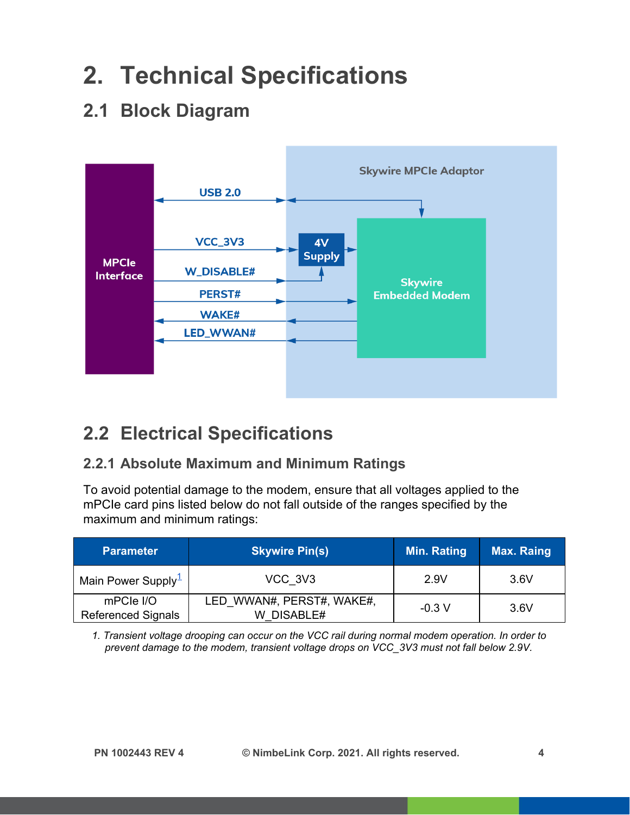## <span id="page-3-0"></span>**2. Technical Specifications**

### <span id="page-3-1"></span>**2.1 Block Diagram**



### <span id="page-3-2"></span>**2.2 Electrical Specifications**

#### <span id="page-3-3"></span>**2.2.1 Absolute Maximum and Minimum Ratings**

To avoid potential damage to the modem, ensure that all voltages applied to the mPCIe card pins listed below do not fall outside of the ranges specified by the maximum and minimum ratings:

| <b>Parameter</b>                       | <b>Skywire Pin(s)</b>                      | Min. Rating | <b>Max. Raing</b> |
|----------------------------------------|--------------------------------------------|-------------|-------------------|
| Main Power Supply <sup>1</sup>         | VCC 3V3                                    | 2.9V        | 3.6V              |
| mPCle I/O<br><b>Referenced Signals</b> | LED WWAN#, PERST#, WAKE#,<br>DISABLE#<br>W | $-0.3 V$    | 3.6V              |

<span id="page-3-4"></span>*1. Transient voltage drooping can occur on the VCC rail during normal modem operation. In order to prevent damage to the modem, transient voltage drops on VCC\_3V3 must not fall below 2.9V.*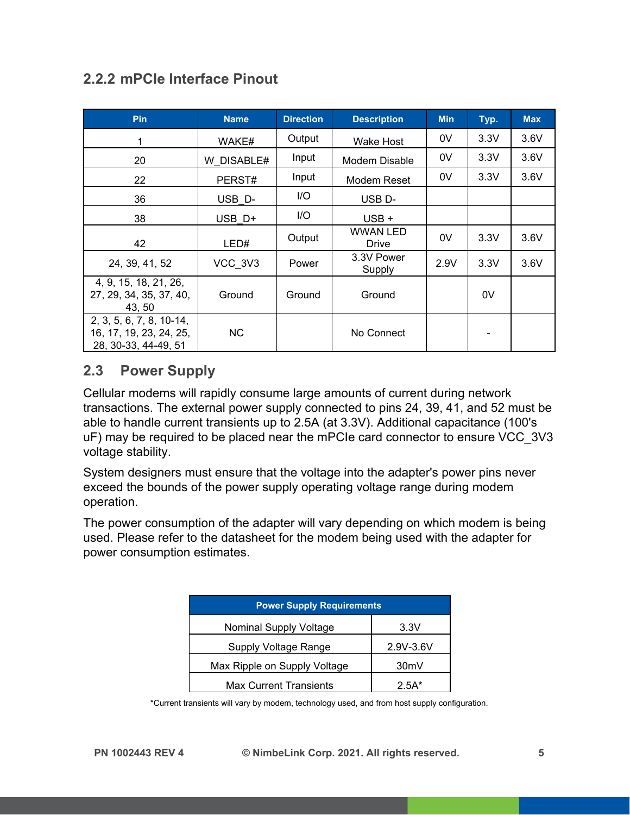#### <span id="page-4-0"></span>**2.2.2 mPCIe Interface Pinout**

| <b>Pin</b>                                                                  | <b>Name</b> | <b>Direction</b> | <b>Description</b>       | <b>Min</b> | Typ. | <b>Max</b> |
|-----------------------------------------------------------------------------|-------------|------------------|--------------------------|------------|------|------------|
| 1                                                                           | WAKE#       | Output           | Wake Host                | 0V         | 3.3V | 3.6V       |
| 20                                                                          | W DISABLE#  | Input            | Modem Disable            | 0V         | 3.3V | 3.6V       |
| 22                                                                          | PERST#      | Input            | Modem Reset              | 0V         | 3.3V | 3.6V       |
| 36                                                                          | USB D-      | I/O              | USB <sub>D</sub> -       |            |      |            |
| 38                                                                          | USB D+      | I/O              | $USB +$                  |            |      |            |
| 42                                                                          | LED#        | Output           | <b>WWAN LED</b><br>Drive | 0V         | 3.3V | 3.6V       |
| 24, 39, 41, 52                                                              | VCC 3V3     | Power            | 3.3V Power<br>Supply     | 2.9V       | 3.3V | 3.6V       |
| 4, 9, 15, 18, 21, 26,<br>27, 29, 34, 35, 37, 40,<br>43, 50                  | Ground      | Ground           | Ground                   |            | 0V   |            |
| 2, 3, 5, 6, 7, 8, 10-14,<br>16, 17, 19, 23, 24, 25,<br>28, 30-33, 44-49, 51 | NC.         |                  | No Connect               |            |      |            |

#### <span id="page-4-1"></span>**2.3 Power Supply**

Cellular modems will rapidly consume large amounts of current during network transactions. The external power supply connected to pins 24, 39, 41, and 52 must be able to handle current transients up to 2.5A (at 3.3V). Additional capacitance (100's uF) may be required to be placed near the mPCIe card connector to ensure VCC\_3V3 voltage stability.

System designers must ensure that the voltage into the adapter's power pins never exceed the bounds of the power supply operating voltage range during modem operation.

The power consumption of the adapter will vary depending on which modem is being used. Please refer to the datasheet for the modem being used with the adapter for power consumption estimates.

| <b>Power Supply Requirements</b> |                   |  |  |  |
|----------------------------------|-------------------|--|--|--|
| <b>Nominal Supply Voltage</b>    | 3.3V              |  |  |  |
| Supply Voltage Range             | 2.9V-3.6V         |  |  |  |
| Max Ripple on Supply Voltage     | 30 <sub>m</sub> V |  |  |  |
| <b>Max Current Transients</b>    | 2.5A*             |  |  |  |

\*Current transients will vary by modem, technology used, and from host supply configuration.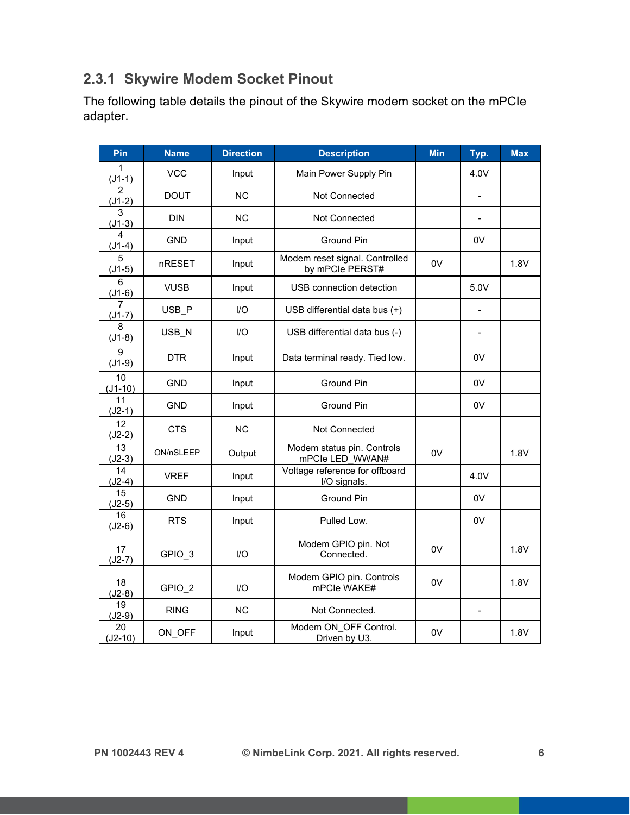#### <span id="page-5-0"></span>**2.3.1 Skywire Modem Socket Pinout**

The following table details the pinout of the Skywire modem socket on the mPCIe adapter.

| Pin                        | <b>Name</b>       | <b>Direction</b> | <b>Description</b>                                | <b>Min</b> | Typ.                         | <b>Max</b> |
|----------------------------|-------------------|------------------|---------------------------------------------------|------------|------------------------------|------------|
| $\mathbf{1}$<br>$(J1-1)$   | <b>VCC</b>        | Input            | Main Power Supply Pin                             |            | 4.0V                         |            |
| $\overline{2}$<br>$(J1-2)$ | <b>DOUT</b>       | <b>NC</b>        | Not Connected                                     |            |                              |            |
| 3<br>$(J1-3)$              | <b>DIN</b>        | <b>NC</b>        | Not Connected                                     |            | $\overline{a}$               |            |
| 4<br>$(J1-4)$              | <b>GND</b>        | Input            | Ground Pin                                        |            | 0V                           |            |
| 5<br>$(J1-5)$              | nRESET            | Input            | Modem reset signal. Controlled<br>by mPCle PERST# | 0V         |                              | 1.8V       |
| 6<br>$(J1-6)$              | <b>VUSB</b>       | Input            | USB connection detection                          |            | 5.0V                         |            |
| 7<br>$(J1-7)$              | USB P             | I/O              | USB differential data bus (+)                     |            |                              |            |
| 8<br>$(J1-8)$              | USB N             | I/O              | USB differential data bus (-)                     |            | $\qquad \qquad \blacksquare$ |            |
| 9<br>$(J1-9)$              | <b>DTR</b>        | Input            | Data terminal ready. Tied low.                    |            | 0V                           |            |
| 10<br>$(J1-10)$            | <b>GND</b>        | Input            | Ground Pin                                        |            | 0V                           |            |
| 11<br>$(J2-1)$             | <b>GND</b>        | Input            | Ground Pin                                        |            | 0V                           |            |
| 12<br>$(J2-2)$             | <b>CTS</b>        | <b>NC</b>        | Not Connected                                     |            |                              |            |
| 13<br>$(J2-3)$             | ON/nSLEEP         | Output           | Modem status pin. Controls<br>mPCIe LED WWAN#     | 0V         |                              | 1.8V       |
| 14<br>$(J2-4)$             | <b>VREF</b>       | Input            | Voltage reference for offboard<br>I/O signals.    |            | 4.0V                         |            |
| 15<br>$(J2-5)$             | <b>GND</b>        | Input            | Ground Pin                                        |            | 0V                           |            |
| 16<br>$(J2-6)$             | <b>RTS</b>        | Input            | Pulled Low.                                       |            | 0V                           |            |
| 17<br>$(J2-7)$             | GPIO <sub>3</sub> | I/O              | Modem GPIO pin. Not<br>Connected.                 | 0V         |                              | 1.8V       |
| 18<br>$(J2-8)$             | GPIO <sub>2</sub> | $\overline{U}$   | Modem GPIO pin. Controls<br>mPCle WAKE#           | 0V         |                              | 1.8V       |
| 19<br>$(J2-9)$             | <b>RING</b>       | NC               | Not Connected.                                    |            | $\frac{1}{2}$                |            |
| 20<br>$(J2-10)$            | ON OFF            | Input            | Modem ON OFF Control.<br>Driven by U3.            | 0V         |                              | 1.8V       |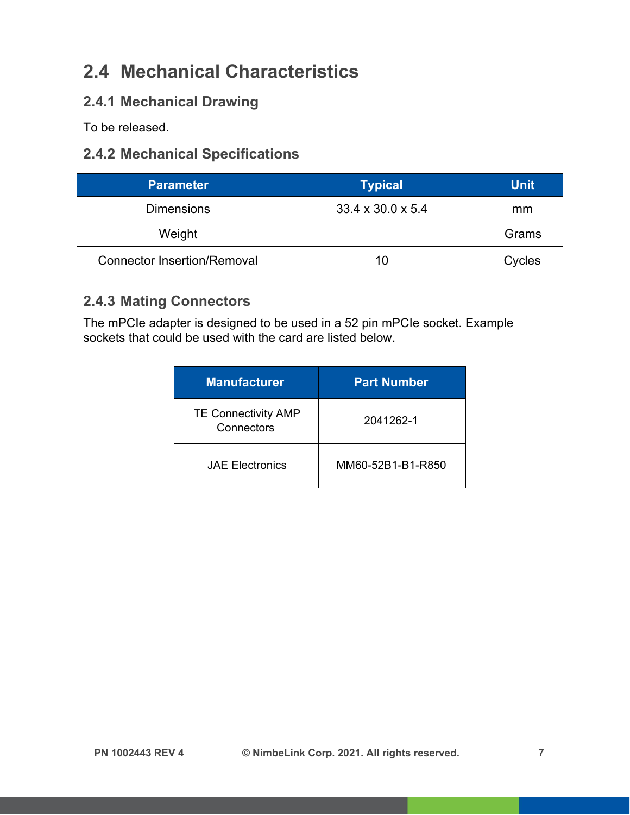### <span id="page-6-0"></span>**2.4 Mechanical Characteristics**

#### <span id="page-6-1"></span>**2.4.1 Mechanical Drawing**

To be released.

#### <span id="page-6-2"></span>**2.4.2 Mechanical Specifications**

| <b>Parameter</b>                   | <b>Typical</b>                | <b>Unit</b> |
|------------------------------------|-------------------------------|-------------|
| <b>Dimensions</b>                  | $33.4 \times 30.0 \times 5.4$ | mm          |
| Weight                             |                               | Grams       |
| <b>Connector Insertion/Removal</b> | 10                            | Cycles      |

#### <span id="page-6-3"></span>**2.4.3 Mating Connectors**

The mPCIe adapter is designed to be used in a 52 pin mPCIe socket. Example sockets that could be used with the card are listed below.

| <b>Manufacturer</b>                      | <b>Part Number</b> |
|------------------------------------------|--------------------|
| <b>TE Connectivity AMP</b><br>Connectors | 2041262-1          |
| <b>JAE Electronics</b>                   | MM60-52B1-B1-R850  |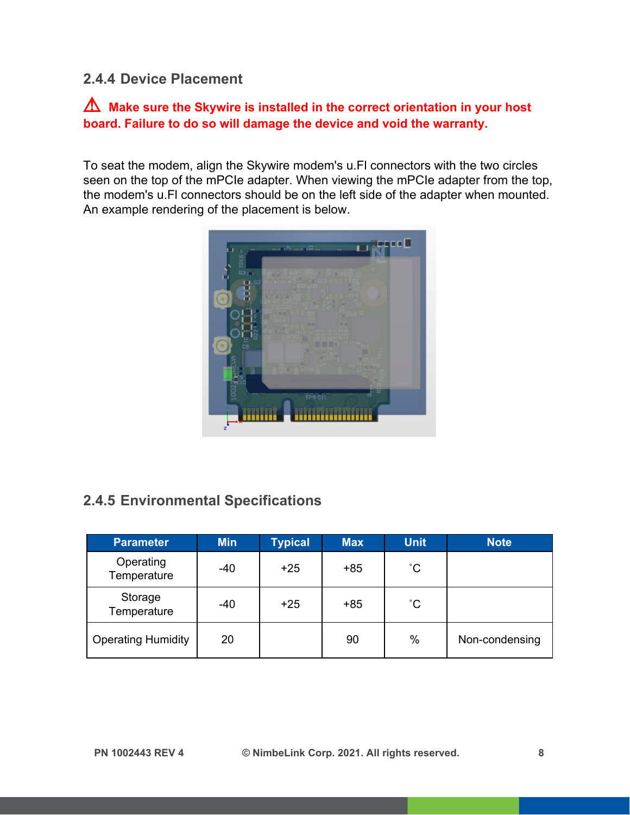#### <span id="page-7-0"></span>**2.4.4 Device Placement**

#### ⚠ **Make sure the Skywire is installed in the correct orientation in your host board. Failure to do so will damage the device and void the warranty.**

To seat the modem, align the Skywire modem's u.Fl connectors with the two circles seen on the top of the mPCIe adapter. When viewing the mPCIe adapter from the top, the modem's u.Fl connectors should be on the left side of the adapter when mounted. An example rendering of the placement is below.



#### <span id="page-7-1"></span>**2.4.5 Environmental Specifications**

| <b>Parameter</b>          | <b>Min</b> | <b>Typical</b> | <b>Max</b> | <b>Unit</b>  | <b>Note</b>    |
|---------------------------|------------|----------------|------------|--------------|----------------|
| Operating<br>Temperature  | -40        | $+25$          | $+85$      | $^{\circ}$ C |                |
| Storage<br>Temperature    | -40        | $+25$          | $+85$      | $^{\circ}$ C |                |
| <b>Operating Humidity</b> | 20         |                | 90         | $\%$         | Non-condensing |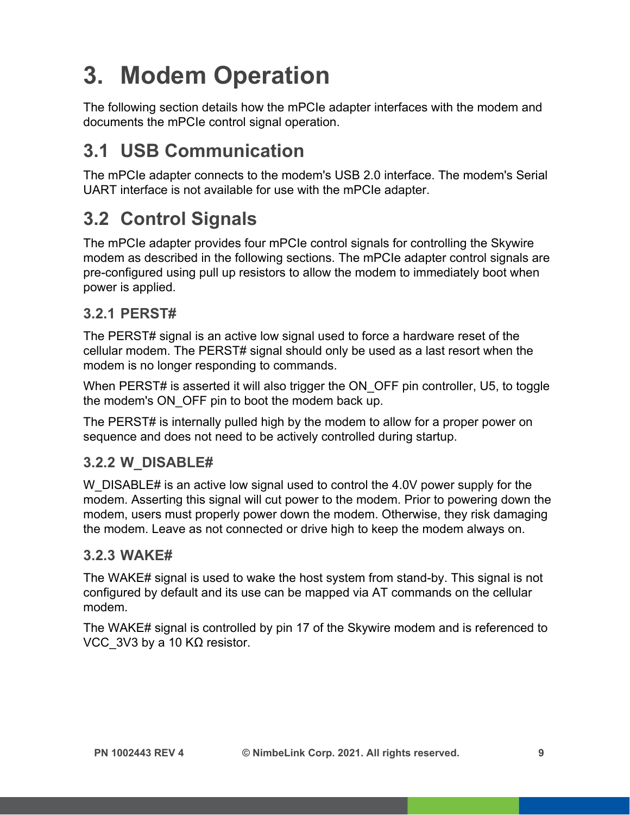# <span id="page-8-0"></span>**3. Modem Operation**

The following section details how the mPCIe adapter interfaces with the modem and documents the mPCIe control signal operation.

### <span id="page-8-1"></span>**3.1 USB Communication**

The mPCIe adapter connects to the modem's USB 2.0 interface. The modem's Serial UART interface is not available for use with the mPCIe adapter.

### <span id="page-8-2"></span>**3.2 Control Signals**

The mPCIe adapter provides four mPCIe control signals for controlling the Skywire modem as described in the following sections. The mPCIe adapter control signals are pre-configured using pull up resistors to allow the modem to immediately boot when power is applied.

#### <span id="page-8-3"></span>**3.2.1 PERST#**

The PERST# signal is an active low signal used to force a hardware reset of the cellular modem. The PERST# signal should only be used as a last resort when the modem is no longer responding to commands.

When PERST# is asserted it will also trigger the ON OFF pin controller, U5, to toggle the modem's ON\_OFF pin to boot the modem back up.

The PERST# is internally pulled high by the modem to allow for a proper power on sequence and does not need to be actively controlled during startup.

#### **3.2.2 W\_DISABLE#**

W DISABLE# is an active low signal used to control the 4.0V power supply for the modem. Asserting this signal will cut power to the modem. Prior to powering down the modem, users must properly power down the modem. Otherwise, they risk damaging the modem. Leave as not connected or drive high to keep the modem always on.

#### **3.2.3 WAKE#**

The WAKE# signal is used to wake the host system from stand-by. This signal is not configured by default and its use can be mapped via AT commands on the cellular modem.

The WAKE# signal is controlled by pin 17 of the Skywire modem and is referenced to VCC 3V3 by a 10 KΩ resistor.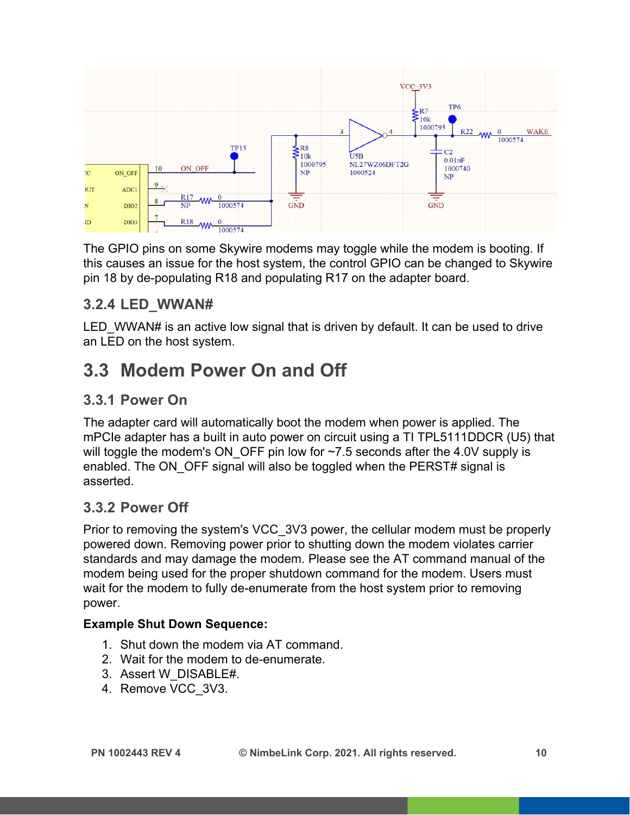

The GPIO pins on some Skywire modems may toggle while the modem is booting. If this causes an issue for the host system, the control GPIO can be changed to Skywire pin 18 by de-populating R18 and populating R17 on the adapter board.

#### **3.2.4 LED\_WWAN#**

LED WWAN# is an active low signal that is driven by default. It can be used to drive an LED on the host system.

### <span id="page-9-0"></span>**3.3 Modem Power On and Off**

#### <span id="page-9-1"></span>**3.3.1 Power On**

The adapter card will automatically boot the modem when power is applied. The mPCIe adapter has a built in auto power on circuit using a TI TPL5111DDCR (U5) that will toggle the modem's ON OFF pin low for  $~1.5$  seconds after the 4.0V supply is enabled. The ON OFF signal will also be toggled when the PERST# signal is asserted.

#### <span id="page-9-2"></span>**3.3.2 Power Off**

Prior to removing the system's VCC\_3V3 power, the cellular modem must be properly powered down. Removing power prior to shutting down the modem violates carrier standards and may damage the modem. Please see the AT command manual of the modem being used for the proper shutdown command for the modem. Users must wait for the modem to fully de-enumerate from the host system prior to removing power.

#### **Example Shut Down Sequence:**

- 1. Shut down the modem via AT command.
- 2. Wait for the modem to de-enumerate.
- 3. Assert W\_DISABLE#.
- 4. Remove VCC\_3V3.